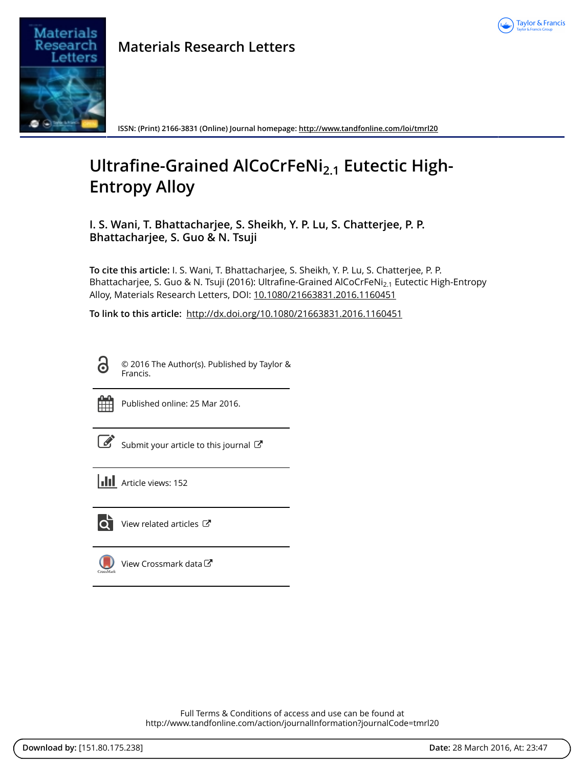



**ISSN: (Print) 2166-3831 (Online) Journal homepage:<http://www.tandfonline.com/loi/tmrl20>**

## **Ultrafine-Grained AlCoCrFeNi2.1 Eutectic High-Entropy Alloy**

**I. S. Wani, T. Bhattacharjee, S. Sheikh, Y. P. Lu, S. Chatterjee, P. P. Bhattacharjee, S. Guo & N. Tsuji**

**To cite this article:** I. S. Wani, T. Bhattacharjee, S. Sheikh, Y. P. Lu, S. Chatterjee, P. P. Bhattacharjee, S. Guo & N. Tsuji (2016): Ultrafine-Grained AlCoCrFeNi<sub>2.1</sub> Eutectic High-Entropy Alloy, Materials Research Letters, DOI: [10.1080/21663831.2016.1160451](http://www.tandfonline.com/action/showCitFormats?doi=10.1080/21663831.2016.1160451)

**To link to this article:** <http://dx.doi.org/10.1080/21663831.2016.1160451>

**G** 

© 2016 The Author(s). Published by Taylor & Francis.



Published online: 25 Mar 2016.

| ł<br>I |
|--------|

[Submit your article to this journal](http://www.tandfonline.com/action/authorSubmission?journalCode=tmrl20&page=instructions)  $\mathbb{Z}$ 

**Article views: 152** 



 $\overrightarrow{Q}$  [View related articles](http://www.tandfonline.com/doi/mlt/10.1080/21663831.2016.1160451)  $\overrightarrow{C}$ 

|           | View Crossmark data |
|-----------|---------------------|
| CrossMark |                     |

Full Terms & Conditions of access and use can be found at <http://www.tandfonline.com/action/journalInformation?journalCode=tmrl20>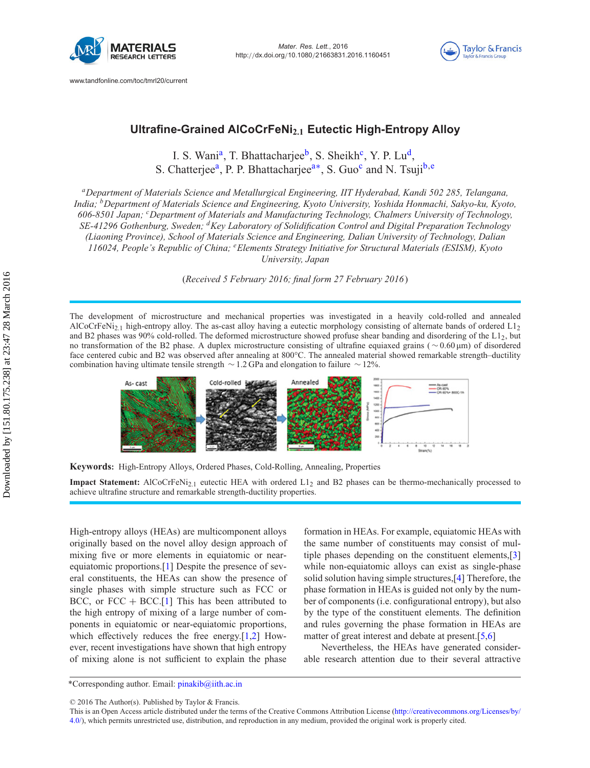



## **Ultrafine-Grained AlCoCrFeNi2.1 Eutectic High-Entropy Alloy**

I. S. Wani<sup>a</sup>, T. Bhattacharjee<sup>b</sup>, S. Sheikh<sup>c</sup>, Y. P. Lu<sup>d</sup>, S. Chatt[e](#page-1-4)rjee<sup>a</sup>, P. P. Bhattacharjee<sup>a∗</sup>, S. Guo<sup>c</sup> and N. Tsuji<sup>b,e</sup>

<span id="page-1-1"></span><span id="page-1-0"></span>*aDepartment of Materials Science and Metallurgical Engineering, IIT Hyderabad, Kandi 502 285, Telangana, India; bDepartment of Materials Science and Engineering, Kyoto University, Yoshida Honmachi, Sakyo-ku, Kyoto, 606-8501 Japan; <sup>c</sup> Department of Materials and Manufacturing Technology, Chalmers University of Technology, SE-41296 Gothenburg, Sweden; dKey Laboratory of Solidification Control and Digital Preparation Technology (Liaoning Province), School of Materials Science and Engineering, Dalian University of Technology, Dalian 116024, People's Republic of China; <sup>e</sup> Elements Strategy Initiative for Structural Materials (ESISM), Kyoto University, Japan*

<span id="page-1-4"></span><span id="page-1-3"></span><span id="page-1-2"></span>(*Received 5 February 2016; final form 27 February 2016*)

The development of microstructure and mechanical properties was investigated in a heavily cold-rolled and annealed AlCoCrFeNi<sub>2.1</sub> high-entropy alloy. The as-cast alloy having a eutectic morphology consisting of alternate bands of ordered  $L_{12}$ and B2 phases was 90% cold-rolled. The deformed microstructure showed profuse shear banding and disordering of the L12, but no transformation of the B2 phase. A duplex microstructure consisting of ultrafine equiaxed grains ( ∼ 0.60 μm) of disordered face centered cubic and B2 was observed after annealing at 800°C. The annealed material showed remarkable strength–ductility combination having ultimate tensile strength ∼ 1.2 GPa and elongation to failure ∼ 12%.



**Keywords:** High-Entropy Alloys, Ordered Phases, Cold-Rolling, Annealing, Properties

**Impact Statement:** AlCoCrFeNi<sub>2.1</sub> eutectic HEA with ordered L1<sub>2</sub> and B2 phases can be thermo-mechanically processed to achieve ultrafine structure and remarkable strength-ductility properties.

High-entropy alloys (HEAs) are multicomponent alloys originally based on the novel alloy design approach of mixing five or more elements in equiatomic or nearequiatomic proportions.[\[1\]](#page-5-0) Despite the presence of several constituents, the HEAs can show the presence of single phases with simple structure such as FCC or BCC, or  $FCC + BCC$ .[\[1](#page-5-0)] This has been attributed to the high entropy of mixing of a large number of components in equiatomic or near-equiatomic proportions, which effectively reduces the free energy.[\[1](#page-5-0)[,2](#page-5-1)] However, recent investigations have shown that high entropy of mixing alone is not sufficient to explain the phase

formation in HEAs. For example, equiatomic HEAs with the same number of constituents may consist of multiple phases depending on the constituent elements,[\[3\]](#page-5-2) while non-equiatomic alloys can exist as single-phase solid solution having simple structures,[\[4](#page-5-3)] Therefore, the phase formation in HEAs is guided not only by the number of components (i.e. configurational entropy), but also by the type of the constituent elements. The definition and rules governing the phase formation in HEAs are matter of great interest and debate at present.[\[5](#page-5-4)[,6\]](#page-5-5)

Nevertheless, the HEAs have generated considerable research attention due to their several attractive

<sup>\*</sup>Corresponding author. Email: [pinakib@iith.ac.in](mailto:pinakib@iith.ac.in)

<sup>© 2016</sup> The Author(s). Published by Taylor & Francis.

This is an Open Access article distributed under the terms of the Creative Commons Attribution License [\(http://creativecommons.org/Licenses/by/](http://creativecommons.org/Licenses/by/4.0/) [4.0/\)](http://creativecommons.org/Licenses/by/4.0/), which permits unrestricted use, distribution, and reproduction in any medium, provided the original work is properly cited.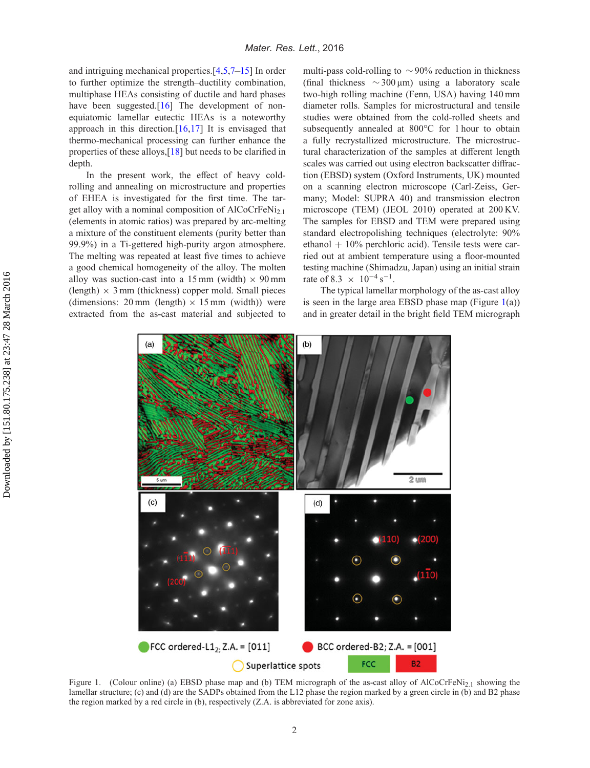and intriguing mechanical properties.[\[4](#page-5-3)[,5](#page-5-4)[,7](#page-5-6)[–15\]](#page-6-0) In order to further optimize the strength–ductility combination, multiphase HEAs consisting of ductile and hard phases have been suggested.<sup>[\[16](#page-6-1)]</sup> The development of nonequiatomic lamellar eutectic HEAs is a noteworthy approach in this direction. $[16,17]$  $[16,17]$  It is envisaged that thermo-mechanical processing can further enhance the properties of these alloys,[\[18\]](#page-6-3) but needs to be clarified in depth.

In the present work, the effect of heavy coldrolling and annealing on microstructure and properties of EHEA is investigated for the first time. The target alloy with a nominal composition of  $AICoCrFeNi<sub>2.1</sub>$ (elements in atomic ratios) was prepared by arc-melting a mixture of the constituent elements (purity better than 99.9%) in a Ti-gettered high-purity argon atmosphere. The melting was repeated at least five times to achieve a good chemical homogeneity of the alloy. The molten alloy was suction-cast into a 15 mm (width)  $\times$  90 mm  $(\text{length}) \times 3 \text{ mm}$  (thickness) copper mold. Small pieces (dimensions: 20 mm (length)  $\times$  15 mm (width)) were extracted from the as-cast material and subjected to

multi-pass cold-rolling to  $\sim$ 90% reduction in thickness (final thickness ∼300 μm) using a laboratory scale two-high rolling machine (Fenn, USA) having 140 mm diameter rolls. Samples for microstructural and tensile studies were obtained from the cold-rolled sheets and subsequently annealed at 800°C for 1 hour to obtain a fully recrystallized microstructure. The microstructural characterization of the samples at different length scales was carried out using electron backscatter diffraction (EBSD) system (Oxford Instruments, UK) mounted on a scanning electron microscope (Carl-Zeiss, Germany; Model: SUPRA 40) and transmission electron microscope (TEM) (JEOL 2010) operated at 200 KV. The samples for EBSD and TEM were prepared using standard electropolishing techniques (electrolyte: 90% ethanol  $+10\%$  perchloric acid). Tensile tests were carried out at ambient temperature using a floor-mounted testing machine (Shimadzu, Japan) using an initial strain rate of 8.3  $\times$  10<sup>-4</sup> s<sup>-1</sup>.

The typical lamellar morphology of the as-cast alloy is seen in the large area EBSD phase map (Figure  $1(a)$  $1(a)$ ) and in greater detail in the bright field TEM micrograph



<span id="page-2-0"></span>Figure 1. (Colour online) (a) EBSD phase map and (b) TEM micrograph of the as-cast alloy of AlCoCrFeNi<sub>2.1</sub> showing the lamellar structure; (c) and (d) are the SADPs obtained from the L12 phase the region marked by a green circle in (b) and B2 phase the region marked by a red circle in (b), respectively (Z.A. is abbreviated for zone axis).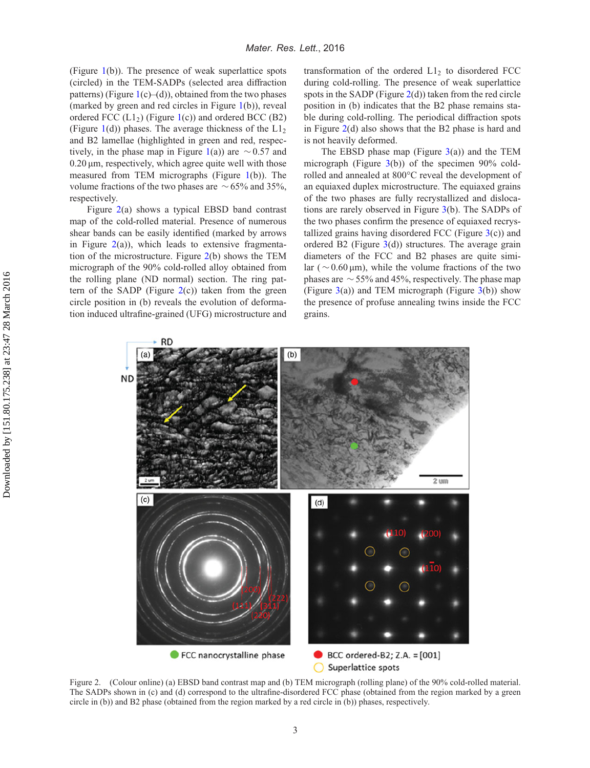(Figure [1\(](#page-2-0)b)). The presence of weak superlattice spots (circled) in the TEM-SADPs (selected area diffraction patterns) (Figure  $1(c)$  $1(c)$ –(d)), obtained from the two phases (marked by green and red circles in Figure [1\(](#page-2-0)b)), reveal ordered FCC  $(L1<sub>2</sub>)$  (Figure [1\(](#page-2-0)c)) and ordered BCC (B2) (Figure [1\(](#page-2-0)d)) phases. The average thickness of the  $L1_2$ and B2 lamellae (highlighted in green and red, respec-tively, in the phase map in Figure [1\(](#page-2-0)a)) are  $\sim$  0.57 and  $0.20 \,\mu$ m, respectively, which agree quite well with those measured from TEM micrographs (Figure [1\(](#page-2-0)b)). The volume fractions of the two phases are  $\sim$  65% and 35%, respectively.

Figure [2\(](#page-3-0)a) shows a typical EBSD band contrast map of the cold-rolled material. Presence of numerous shear bands can be easily identified (marked by arrows in Figure  $2(a)$  $2(a)$ ), which leads to extensive fragmentation of the microstructure. Figure [2\(](#page-3-0)b) shows the TEM micrograph of the 90% cold-rolled alloy obtained from the rolling plane (ND normal) section. The ring pattern of the SADP (Figure  $2(c)$  $2(c)$ ) taken from the green circle position in (b) reveals the evolution of deformation induced ultrafine-grained (UFG) microstructure and

transformation of the ordered  $L1<sub>2</sub>$  to disordered FCC during cold-rolling. The presence of weak superlattice spots in the SADP (Figure  $2(d)$  $2(d)$ ) taken from the red circle position in (b) indicates that the B2 phase remains stable during cold-rolling. The periodical diffraction spots in Figure  $2(d)$  $2(d)$  also shows that the B2 phase is hard and is not heavily deformed.

The EBSD phase map (Figure  $3(a)$  $3(a)$ ) and the TEM micrograph (Figure [3\(](#page-4-0)b)) of the specimen 90% coldrolled and annealed at 800°C reveal the development of an equiaxed duplex microstructure. The equiaxed grains of the two phases are fully recrystallized and dislocations are rarely observed in Figure [3\(](#page-4-0)b). The SADPs of the two phases confirm the presence of equiaxed recrystallized grains having disordered FCC (Figure  $3(c)$  $3(c)$ ) and ordered B2 (Figure  $3(d)$  $3(d)$ ) structures. The average grain diameters of the FCC and B2 phases are quite similar ( $\sim$  0.60 μm), while the volume fractions of the two phases are  $\sim$  55% and 45%, respectively. The phase map (Figure  $3(a)$  $3(a)$ ) and TEM micrograph (Figure  $3(b)$ ) show the presence of profuse annealing twins inside the FCC grains.



<span id="page-3-0"></span>Figure 2. (Colour online) (a) EBSD band contrast map and (b) TEM micrograph (rolling plane) of the 90% cold-rolled material. The SADPs shown in (c) and (d) correspond to the ultrafine-disordered FCC phase (obtained from the region marked by a green circle in (b)) and B2 phase (obtained from the region marked by a red circle in (b)) phases, respectively.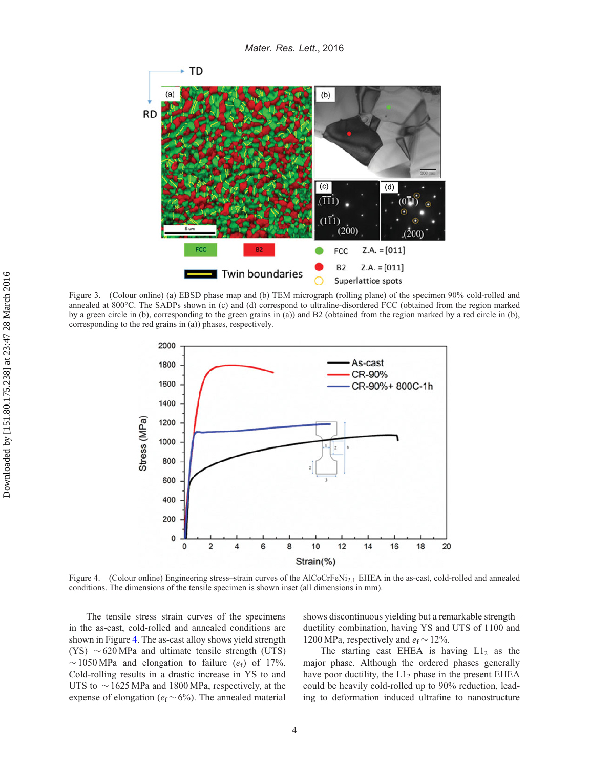

Figure 3. (Colour online) (a) EBSD phase map and (b) TEM micrograph (rolling plane) of the specimen 90% cold-rolled and annealed at 800°C. The SADPs shown in (c) and (d) correspond to ultrafine-disordered FCC (obtained from the region marked by a green circle in (b), corresponding to the green grains in (a)) and B2 (obtained from the region marked by a red circle in (b), corresponding to the red grains in (a)) phases, respectively.

<span id="page-4-0"></span>

<span id="page-4-1"></span>Figure 4. (Colour online) Engineering stress–strain curves of the AlCoCrFeNi<sub>2.1</sub> EHEA in the as-cast, cold-rolled and annealed conditions. The dimensions of the tensile specimen is shown inset (all dimensions in mm).

The tensile stress–strain curves of the specimens in the as-cast, cold-rolled and annealed conditions are shown in Figure [4.](#page-4-1) The as-cast alloy shows yield strength (YS)  $\sim$  620 MPa and ultimate tensile strength (UTS)  $\sim$  1050 MPa and elongation to failure ( $e_f$ ) of 17%. Cold-rolling results in a drastic increase in YS to and UTS to ∼1625 MPa and 1800 MPa, respectively, at the expense of elongation ( $e_f \sim 6\%$ ). The annealed material shows discontinuous yielding but a remarkable strength– ductility combination, having YS and UTS of 1100 and 1200 MPa, respectively and *e*<sup>f</sup> ∼12%.

The starting cast EHEA is having  $L1_2$  as the major phase. Although the ordered phases generally have poor ductility, the  $L1_2$  phase in the present EHEA could be heavily cold-rolled up to 90% reduction, leading to deformation induced ultrafine to nanostructure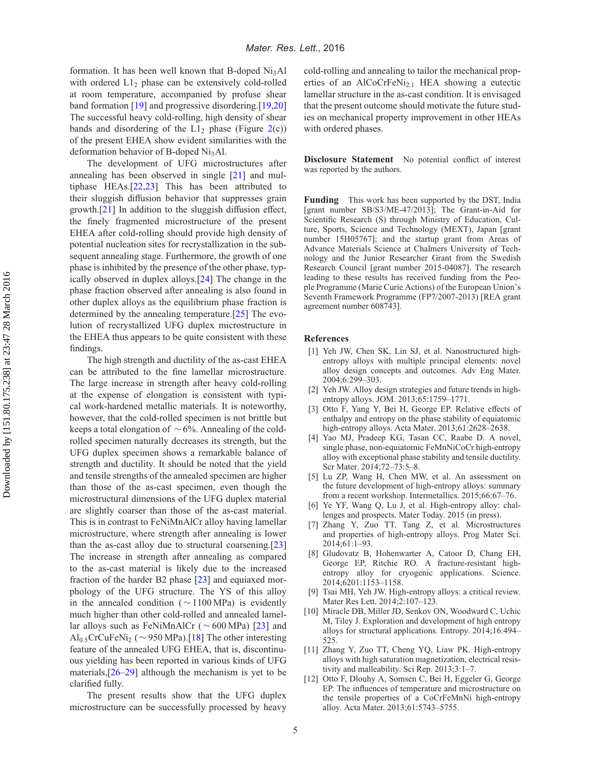formation. It has been well known that B-doped  $Ni<sub>3</sub>Al$ with ordered  $L1<sub>2</sub>$  phase can be extensively cold-rolled at room temperature, accompanied by profuse shear band formation [\[19\]](#page-6-4) and progressive disordering.[\[19](#page-6-4)[,20\]](#page-6-5) The successful heavy cold-rolling, high density of shear bands and disordering of the  $L1_2$  phase (Figure [2\(](#page-3-0)c)) of the present EHEA show evident similarities with the deformation behavior of B-doped Ni<sub>3</sub>Al.

The development of UFG microstructures after annealing has been observed in single [\[21\]](#page-6-6) and multiphase HEAs.[\[22](#page-6-7)[,23](#page-6-8)] This has been attributed to their sluggish diffusion behavior that suppresses grain growth.[\[21\]](#page-6-6) In addition to the sluggish diffusion effect, the finely fragmented microstructure of the present EHEA after cold-rolling should provide high density of potential nucleation sites for recrystallization in the subsequent annealing stage. Furthermore, the growth of one phase is inhibited by the presence of the other phase, typically observed in duplex alloys.[\[24\]](#page-6-9) The change in the phase fraction observed after annealing is also found in other duplex alloys as the equilibrium phase fraction is determined by the annealing temperature.[\[25](#page-6-10)] The evolution of recrystallized UFG duplex microstructure in the EHEA thus appears to be quite consistent with these findings.

The high strength and ductility of the as-cast EHEA can be attributed to the fine lamellar microstructure. The large increase in strength after heavy cold-rolling at the expense of elongation is consistent with typical work-hardened metallic materials. It is noteworthy, however, that the cold-rolled specimen is not brittle but keeps a total elongation of ∼6%. Annealing of the coldrolled specimen naturally decreases its strength, but the UFG duplex specimen shows a remarkable balance of strength and ductility. It should be noted that the yield and tensile strengths of the annealed specimen are higher than those of the as-cast specimen, even though the microstructural dimensions of the UFG duplex material are slightly coarser than those of the as-cast material. This is in contrast to FeNiMnAlCr alloy having lamellar microstructure, where strength after annealing is lower than the as-cast alloy due to structural coarsening.[\[23\]](#page-6-8) The increase in strength after annealing as compared to the as-cast material is likely due to the increased fraction of the harder B2 phase [\[23](#page-6-8)] and equiaxed morphology of the UFG structure. The YS of this alloy in the annealed condition ( $\sim$ 1100 MPa) is evidently much higher than other cold-rolled and annealed lamellar alloys such as FeNiMnAlCr (∼600 MPa) [\[23\]](#page-6-8) and Al0.5CrCuFeNi2 (∼950 MPa).[\[18\]](#page-6-3) The other interesting feature of the annealed UFG EHEA, that is, discontinuous yielding has been reported in various kinds of UFG materials, $[26-29]$  $[26-29]$  although the mechanism is yet to be clarified fully.

The present results show that the UFG duplex microstructure can be successfully processed by heavy

cold-rolling and annealing to tailor the mechanical properties of an AlCoCrFeNi<sub>2.1</sub> HEA showing a eutectic lamellar structure in the as-cast condition. It is envisaged that the present outcome should motivate the future studies on mechanical property improvement in other HEAs with ordered phases.

**Disclosure Statement** No potential conflict of interest was reported by the authors.

**Funding** This work has been supported by the DST, India [grant number SB/S3/ME-47/2013]; The Grant-in-Aid for Scientific Research (S) through Ministry of Education, Culture, Sports, Science and Technology (MEXT), Japan [grant number 15H05767]; and the startup grant from Areas of Advance Materials Science at Chalmers University of Technology and the Junior Researcher Grant from the Swedish Research Council [grant number 2015-04087]. The research leading to these results has received funding from the People Programme (Marie Curie Actions) of the European Union's Seventh Framework Programme (FP7/2007-2013) [REA grant agreement number 608743].

## **References**

- <span id="page-5-0"></span>[1] Yeh JW, Chen SK, Lin SJ, et al. Nanostructured highentropy alloys with multiple principal elements: novel alloy design concepts and outcomes. Adv Eng Mater. 2004;6:299–303.
- <span id="page-5-1"></span>[2] Yeh JW. Alloy design strategies and future trends in highentropy alloys. JOM. 2013;65:1759–1771.
- <span id="page-5-2"></span>[3] Otto F, Yang Y, Bei H, George EP. Relative effects of enthalpy and entropy on the phase stability of equiatomic high-entropy alloys. Acta Mater. 2013;61:2628–2638.
- <span id="page-5-3"></span>[4] Yao MJ, Pradeep KG, Tasan CC, Raabe D. A novel, single phase, non-equiatomic FeMnNiCoCr high-entropy alloy with exceptional phase stability and tensile ductility. Scr Mater. 2014;72–73:5–8.
- <span id="page-5-4"></span>[5] Lu ZP, Wang H, Chen MW, et al. An assessment on the future development of high-entropy alloys: summary from a recent workshop. Intermetallics. 2015;66:67–76.
- <span id="page-5-5"></span>[6] Ye YF, Wang Q, Lu J, et al. High-entropy alloy: challenges and prospects. Mater Today. 2015 (in press).
- <span id="page-5-6"></span>[7] Zhang Y, Zuo TT, Tang Z, et al. Microstructures and properties of high-entropy alloys. Prog Mater Sci. 2014;61:1–93.
- [8] Gludovatz B, Hohenwarter A, Catoor D, Chang EH, George EP, Ritchie RO. A fracture-resistant highentropy alloy for cryogenic applications. Science. 2014;6201:1153–1158.
- [9] Tsai MH, Yeh JW. High-entropy alloys: a critical review. Mater Res Lett. 2014;2:107–123.
- [10] Miracle DB, Miller JD, Senkov ON, Woodward C, Uchic M, Tiley J. Exploration and development of high entropy alloys for structural applications. Entropy. 2014;16:494– 525.
- [11] Zhang Y, Zuo TT, Cheng YQ, Liaw PK. High-entropy alloys with high saturation magnetization, electrical resistivity and malleability. Sci Rep. 2013;3:1–7.
- [12] Otto F, Dlouhy A, Somsen C, Bei H, Eggeler G, George EP. The influences of temperature and microstructure on the tensile properties of a CoCrFeMnNi high-entropy alloy. Acta Mater. 2013;61:5743–5755.